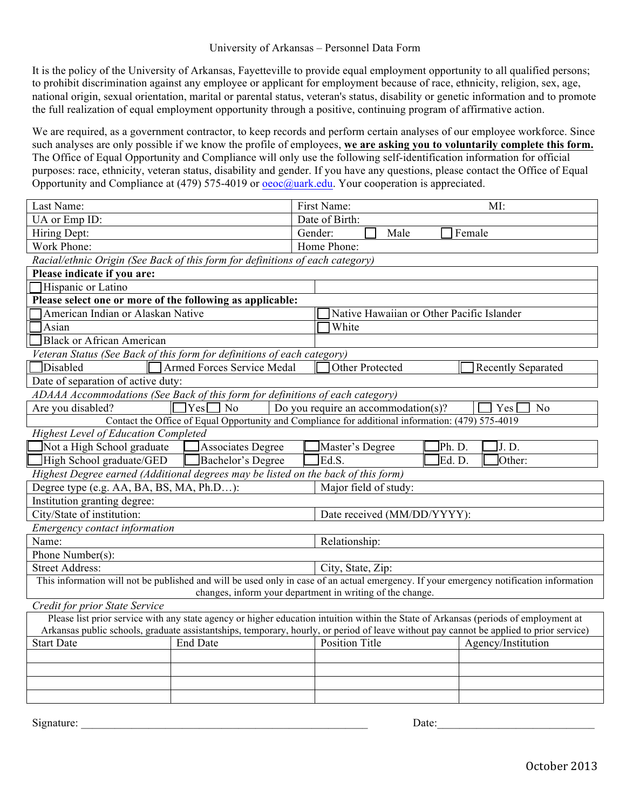## University of Arkansas – Personnel Data Form

It is the policy of the University of Arkansas, Fayetteville to provide equal employment opportunity to all qualified persons; to prohibit discrimination against any employee or applicant for employment because of race, ethnicity, religion, sex, age, national origin, sexual orientation, marital or parental status, veteran's status, disability or genetic information and to promote the full realization of equal employment opportunity through a positive, continuing program of affirmative action.

We are required, as a government contractor, to keep records and perform certain analyses of our employee workforce. Since such analyses are only possible if we know the profile of employees, **we are asking you to voluntarily complete this form.**  The Office of Equal Opportunity and Compliance will only use the following self-identification information for official purposes: race, ethnicity, veteran status, disability and gender. If you have any questions, please contact the Office of Equal Opportunity and Compliance at (479) 575-4019 or oeoc@uark.edu. Your cooperation is appreciated.

| Last Name:                                                                                                                                                                                                                                                                      | First Name:<br>MI:                                   |  |
|---------------------------------------------------------------------------------------------------------------------------------------------------------------------------------------------------------------------------------------------------------------------------------|------------------------------------------------------|--|
| UA or Emp ID:                                                                                                                                                                                                                                                                   | Date of Birth:                                       |  |
| Hiring Dept:                                                                                                                                                                                                                                                                    | Gender:<br>Female<br>Male                            |  |
| Work Phone:                                                                                                                                                                                                                                                                     | Home Phone:                                          |  |
| Racial/ethnic Origin (See Back of this form for definitions of each category)                                                                                                                                                                                                   |                                                      |  |
| Please indicate if you are:                                                                                                                                                                                                                                                     |                                                      |  |
| Hispanic or Latino                                                                                                                                                                                                                                                              |                                                      |  |
| Please select one or more of the following as applicable:                                                                                                                                                                                                                       |                                                      |  |
| American Indian or Alaskan Native                                                                                                                                                                                                                                               | Native Hawaiian or Other Pacific Islander            |  |
| Asian                                                                                                                                                                                                                                                                           | White                                                |  |
| <b>Black or African American</b>                                                                                                                                                                                                                                                |                                                      |  |
| Veteran Status (See Back of this form for definitions of each category)                                                                                                                                                                                                         |                                                      |  |
| <b>Disabled</b><br>Armed Forces Service Medal                                                                                                                                                                                                                                   | Other Protected<br><b>Recently Separated</b>         |  |
| Date of separation of active duty:                                                                                                                                                                                                                                              |                                                      |  |
| ADAAA Accommodations (See Back of this form for definitions of each category)                                                                                                                                                                                                   |                                                      |  |
| Yes<br>Are you disabled?<br>No                                                                                                                                                                                                                                                  | Do you require an accommodation( $s$ )?<br>Yes<br>No |  |
| Contact the Office of Equal Opportunity and Compliance for additional information: (479) 575-4019                                                                                                                                                                               |                                                      |  |
| <b>Highest Level of Education Completed</b>                                                                                                                                                                                                                                     |                                                      |  |
| Not a High School graduate<br><b>Associates Degree</b>                                                                                                                                                                                                                          | Ph. D.<br>Master's Degree<br>J.D.                    |  |
| High School graduate/GED<br>Bachelor's Degree                                                                                                                                                                                                                                   | Ed.S.<br>Other:<br>Ed. D.                            |  |
| Highest Degree earned (Additional degrees may be listed on the back of this form)                                                                                                                                                                                               |                                                      |  |
| Degree type (e.g. AA, BA, BS, MA, Ph.D):                                                                                                                                                                                                                                        | Major field of study:                                |  |
| Institution granting degree:                                                                                                                                                                                                                                                    |                                                      |  |
| City/State of institution:                                                                                                                                                                                                                                                      | Date received (MM/DD/YYYY):                          |  |
| Emergency contact information                                                                                                                                                                                                                                                   |                                                      |  |
| Name:                                                                                                                                                                                                                                                                           | Relationship:                                        |  |
| Phone Number(s):                                                                                                                                                                                                                                                                |                                                      |  |
| <b>Street Address:</b>                                                                                                                                                                                                                                                          | City, State, Zip:                                    |  |
| This information will not be published and will be used only in case of an actual emergency. If your emergency notification information                                                                                                                                         |                                                      |  |
| changes, inform your department in writing of the change.                                                                                                                                                                                                                       |                                                      |  |
| Credit for prior State Service                                                                                                                                                                                                                                                  |                                                      |  |
| Please list prior service with any state agency or higher education intuition within the State of Arkansas (periods of employment at<br>Arkansas public schools, graduate assistantships, temporary, hourly, or period of leave without pay cannot be applied to prior service) |                                                      |  |
|                                                                                                                                                                                                                                                                                 |                                                      |  |
| <b>Start Date</b><br><b>End Date</b>                                                                                                                                                                                                                                            | <b>Position Title</b><br>Agency/Institution          |  |
|                                                                                                                                                                                                                                                                                 |                                                      |  |
|                                                                                                                                                                                                                                                                                 |                                                      |  |
|                                                                                                                                                                                                                                                                                 |                                                      |  |
|                                                                                                                                                                                                                                                                                 |                                                      |  |

Signature:  $\Box$